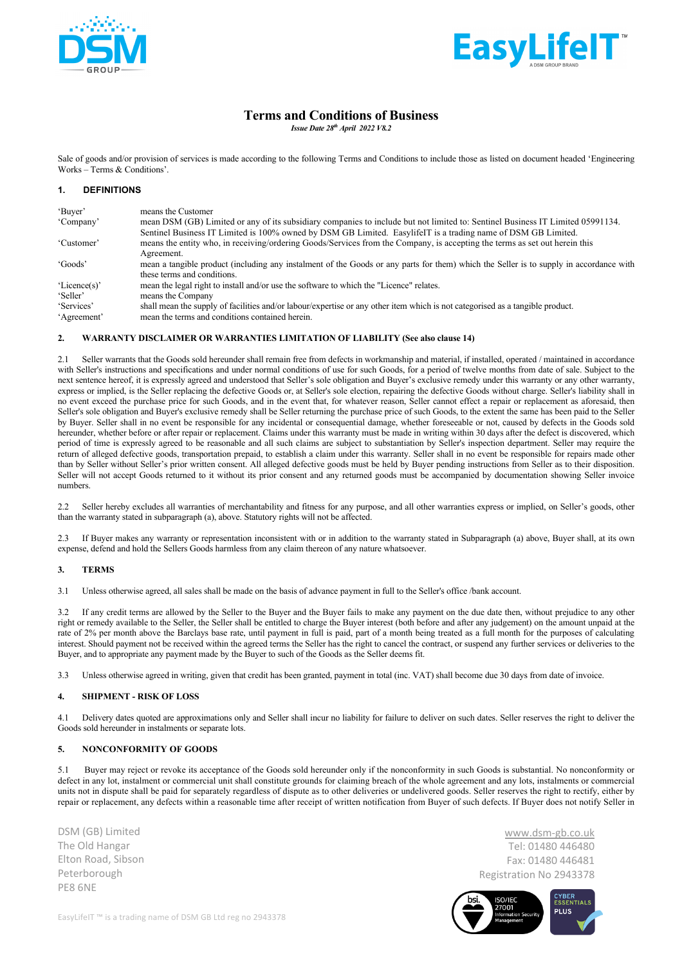



# **Terms and Conditions of Business**

*Issue Date 28th April 2022 V8.2*

Sale of goods and/or provision of services is made according to the following Terms and Conditions to include those as listed on document headed 'Engineering Works – Terms & Conditions'.

# **1. DEFINITIONS**

| 'Buyer'      | means the Customer                                                                                                                     |
|--------------|----------------------------------------------------------------------------------------------------------------------------------------|
| 'Company'    | mean DSM (GB) Limited or any of its subsidiary companies to include but not limited to: Sentinel Business IT Limited 05991134.         |
|              | Sentinel Business IT Limited is 100% owned by DSM GB Limited. EasylifelT is a trading name of DSM GB Limited.                          |
| 'Customer'   | means the entity who, in receiving/ordering Goods/Services from the Company, is accepting the terms as set out herein this             |
|              | Agreement.                                                                                                                             |
| 'Goods'      | mean a tangible product (including any instalment of the Goods or any parts for them) which the Seller is to supply in accordance with |
|              | these terms and conditions.                                                                                                            |
| 'Licence(s)' | mean the legal right to install and/or use the software to which the "Licence" relates.                                                |
| 'Seller'     | means the Company                                                                                                                      |
| 'Services'   | shall mean the supply of facilities and/or labour/expertise or any other item which is not categorised as a tangible product.          |
| 'Agreement'  | mean the terms and conditions contained herein.                                                                                        |

## **2. WARRANTY DISCLAIMER OR WARRANTIES LIMITATION OF LIABILITY (See also clause 14)**

2.1 Seller warrants that the Goods sold hereunder shall remain free from defects in workmanship and material, if installed, operated / maintained in accordance with Seller's instructions and specifications and under normal conditions of use for such Goods, for a period of twelve months from date of sale. Subject to the next sentence hereof, it is expressly agreed and understood that Seller's sole obligation and Buyer's exclusive remedy under this warranty or any other warranty, express or implied, is the Seller replacing the defective Goods or, at Seller's sole election, repairing the defective Goods without charge. Seller's liability shall in no event exceed the purchase price for such Goods, and in the event that, for whatever reason, Seller cannot effect a repair or replacement as aforesaid, then Seller's sole obligation and Buyer's exclusive remedy shall be Seller returning the purchase price of such Goods, to the extent the same has been paid to the Seller by Buyer. Seller shall in no event be responsible for any incidental or consequential damage, whether foreseeable or not, caused by defects in the Goods sold hereunder, whether before or after repair or replacement. Claims under this warranty must be made in writing within 30 days after the defect is discovered, which period of time is expressly agreed to be reasonable and all such claims are subject to substantiation by Seller's inspection department. Seller may require the return of alleged defective goods, transportation prepaid, to establish a claim under this warranty. Seller shall in no event be responsible for repairs made other than by Seller without Seller's prior written consent. All alleged defective goods must be held by Buyer pending instructions from Seller as to their disposition. Seller will not accept Goods returned to it without its prior consent and any returned goods must be accompanied by documentation showing Seller invoice numbers.

2.2 Seller hereby excludes all warranties of merchantability and fitness for any purpose, and all other warranties express or implied, on Seller's goods, other than the warranty stated in subparagraph (a), above. Statutory rights will not be affected.

2.3 If Buyer makes any warranty or representation inconsistent with or in addition to the warranty stated in Subparagraph (a) above, Buyer shall, at its own expense, defend and hold the Sellers Goods harmless from any claim thereon of any nature whatsoever.

## **3. TERMS**

3.1 Unless otherwise agreed, all sales shall be made on the basis of advance payment in full to the Seller's office /bank account.

3.2 If any credit terms are allowed by the Seller to the Buyer and the Buyer fails to make any payment on the due date then, without prejudice to any other right or remedy available to the Seller, the Seller shall be entitled to charge the Buyer interest (both before and after any judgement) on the amount unpaid at the rate of 2% per month above the Barclays base rate, until payment in full is paid, part of a month being treated as a full month for the purposes of calculating interest. Should payment not be received within the agreed terms the Seller has the right to cancel the contract, or suspend any further services or deliveries to the Buyer, and to appropriate any payment made by the Buyer to such of the Goods as the Seller deems fit.

3.3 Unless otherwise agreed in writing, given that credit has been granted, payment in total (inc. VAT) shall become due 30 days from date of invoice.

## **4. SHIPMENT - RISK OF LOSS**

4.1 Delivery dates quoted are approximations only and Seller shall incur no liability for failure to deliver on such dates. Seller reserves the right to deliver the Goods sold hereunder in instalments or separate lots.

## **5. NONCONFORMITY OF GOODS**

5.1 Buyer may reject or revoke its acceptance of the Goods sold hereunder only if the nonconformity in such Goods is substantial. No nonconformity or defect in any lot, instalment or commercial unit shall constitute grounds for claiming breach of the whole agreement and any lots, instalments or commercial units not in dispute shall be paid for separately regardless of dispute as to other deliveries or undelivered goods. Seller reserves the right to rectify, either by repair or replacement, any defects within a reasonable time after receipt of written notification from Buyer of such defects. If Buyer does not notify Seller in

DSM (GB) Limited The Old Hangar Elton Road, Sibson Peterborough PE8 6NE

www.dsm-gb.co.uk Tel: 01480 446480 Fax: 01480 446481 Registration No 2943378

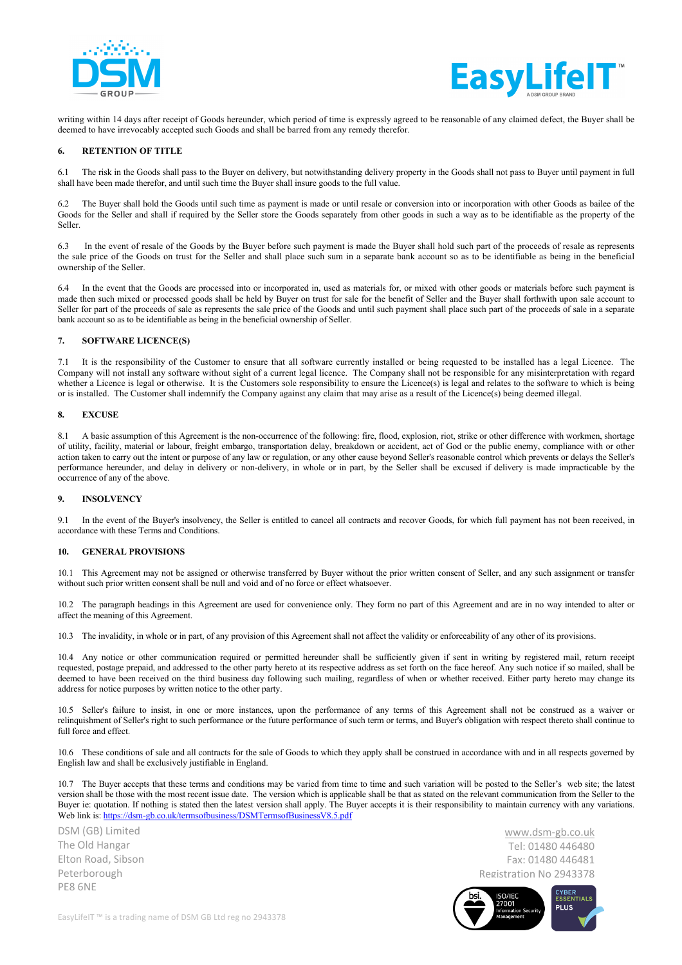



writing within 14 days after receipt of Goods hereunder, which period of time is expressly agreed to be reasonable of any claimed defect, the Buyer shall be deemed to have irrevocably accepted such Goods and shall be barred from any remedy therefor.

## **6. RETENTION OF TITLE**

6.1 The risk in the Goods shall pass to the Buyer on delivery, but notwithstanding delivery property in the Goods shall not pass to Buyer until payment in full shall have been made therefor, and until such time the Buyer shall insure goods to the full value.

6.2 The Buyer shall hold the Goods until such time as payment is made or until resale or conversion into or incorporation with other Goods as bailee of the Goods for the Seller and shall if required by the Seller store the Goods separately from other goods in such a way as to be identifiable as the property of the Seller.

6.3 In the event of resale of the Goods by the Buyer before such payment is made the Buyer shall hold such part of the proceeds of resale as represents the sale price of the Goods on trust for the Seller and shall place such sum in a separate bank account so as to be identifiable as being in the beneficial ownership of the Seller.

6.4 In the event that the Goods are processed into or incorporated in, used as materials for, or mixed with other goods or materials before such payment is made then such mixed or processed goods shall be held by Buyer on trust for sale for the benefit of Seller and the Buyer shall forthwith upon sale account to Seller for part of the proceeds of sale as represents the sale price of the Goods and until such payment shall place such part of the proceeds of sale in a separate bank account so as to be identifiable as being in the beneficial ownership of Seller.

### **7. SOFTWARE LICENCE(S)**

7.1 It is the responsibility of the Customer to ensure that all software currently installed or being requested to be installed has a legal Licence. The Company will not install any software without sight of a current legal licence. The Company shall not be responsible for any misinterpretation with regard whether a Licence is legal or otherwise. It is the Customers sole responsibility to ensure the Licence(s) is legal and relates to the software to which is being or is installed. The Customer shall indemnify the Company against any claim that may arise as a result of the Licence(s) being deemed illegal.

### **8. EXCUSE**

8.1 A basic assumption of this Agreement is the non-occurrence of the following: fire, flood, explosion, riot, strike or other difference with workmen, shortage of utility, facility, material or labour, freight embargo, transportation delay, breakdown or accident, act of God or the public enemy, compliance with or other action taken to carry out the intent or purpose of any law or regulation, or any other cause beyond Seller's reasonable control which prevents or delays the Seller's performance hereunder, and delay in delivery or non-delivery, in whole or in part, by the Seller shall be excused if delivery is made impracticable by the occurrence of any of the above.

#### **9. INSOLVENCY**

9.1 In the event of the Buyer's insolvency, the Seller is entitled to cancel all contracts and recover Goods, for which full payment has not been received, in accordance with these Terms and Conditions.

### **10. GENERAL PROVISIONS**

10.1 This Agreement may not be assigned or otherwise transferred by Buyer without the prior written consent of Seller, and any such assignment or transfer without such prior written consent shall be null and void and of no force or effect whatsoever.

10.2 The paragraph headings in this Agreement are used for convenience only. They form no part of this Agreement and are in no way intended to alter or affect the meaning of this Agreement.

10.3 The invalidity, in whole or in part, of any provision of this Agreement shall not affect the validity or enforceability of any other of its provisions.

10.4 Any notice or other communication required or permitted hereunder shall be sufficiently given if sent in writing by registered mail, return receipt requested, postage prepaid, and addressed to the other party hereto at its respective address as set forth on the face hereof. Any such notice if so mailed, shall be deemed to have been received on the third business day following such mailing, regardless of when or whether received. Either party hereto may change its address for notice purposes by written notice to the other party.

10.5 Seller's failure to insist, in one or more instances, upon the performance of any terms of this Agreement shall not be construed as a waiver or relinquishment of Seller's right to such performance or the future performance of such term or terms, and Buyer's obligation with respect thereto shall continue to full force and effect.

10.6 These conditions of sale and all contracts for the sale of Goods to which they apply shall be construed in accordance with and in all respects governed by English law and shall be exclusively justifiable in England.

10.7 The Buyer accepts that these terms and conditions may be varied from time to time and such variation will be posted to the Seller's web site; the latest version shall be those with the most recent issue date. The version which is applicable shall be that as stated on the relevant communication from the Seller to the Buyer ie: quotation. If nothing is stated then the latest version shall apply. The Buyer accepts it is their responsibility to maintain currency with any variations. Web link is: https://dsm-gb.co.uk/termsofbusiness/DSMTermsofBusinessV8.5.pdf

DSM (GB) Limited The Old Hangar Elton Road, Sibson Peterborough PE8 6NE

www.dsm-gb.co.uk Tel: 01480 446480 Fax: 01480 446481 Registration No 2943378